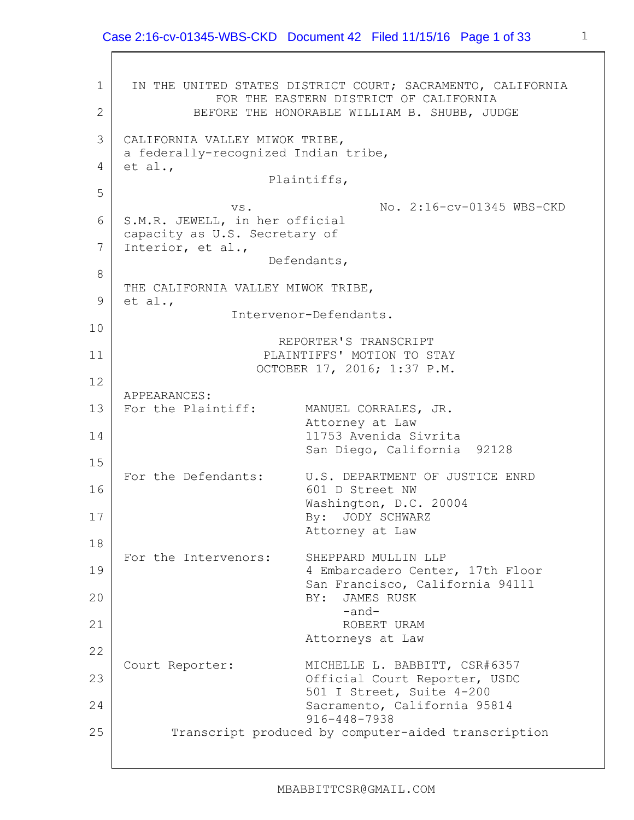1 2 3 4 5 6 7 8 9 10 11 12 13 14 15 16 17 18 19 20 21 22 23 24 25 IN THE UNITED STATES DISTRICT COURT; SACRAMENTO, CALIFORNIA FOR THE EASTERN DISTRICT OF CALIFORNIA BEFORE THE HONORABLE WILLIAM B. SHUBB, JUDGE CALIFORNIA VALLEY MIWOK TRIBE, a federally-recognized Indian tribe, et al., Plaintiffs, vs. No. 2:16-cv-01345 WBS-CKD S.M.R. JEWELL, in her official capacity as U.S. Secretary of Interior, et al., Defendants, THE CALIFORNIA VALLEY MIWOK TRIBE, et al., Intervenor-Defendants. REPORTER'S TRANSCRIPT PLAINTIFFS' MOTION TO STAY OCTOBER 17, 2016; 1:37 P.M. APPEARANCES: For the Plaintiff: MANUEL CORRALES, JR. Attorney at Law 11753 Avenida Sivrita San Diego, California 92128 For the Defendants: U.S. DEPARTMENT OF JUSTICE ENRD 601 D Street NW Washington, D.C. 20004 By: JODY SCHWARZ Attorney at Law For the Intervenors: SHEPPARD MULLIN LLP 4 Embarcadero Center, 17th Floor San Francisco, California 94111 BY: JAMES RUSK -and-ROBERT URAM Attorneys at Law Court Reporter: MICHELLE L. BABBITT, CSR#6357 Official Court Reporter, USDC 501 I Street, Suite 4-200 Sacramento, California 95814 916-448-7938 Transcript produced by computer-aided transcription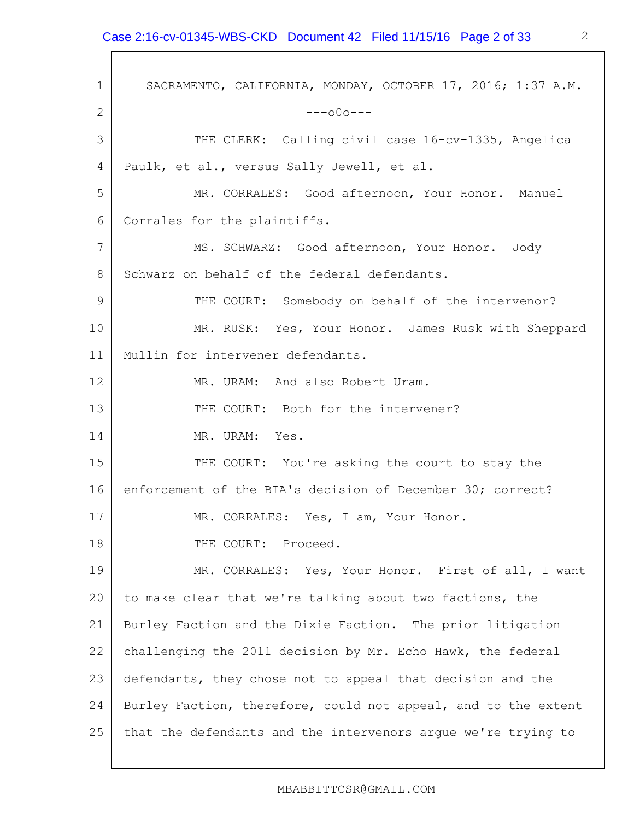1 2 3 4 5 6 7 8 9 10 11 12 13 14 15 16 17 18 19 20 21 22 23 24 25 SACRAMENTO, CALIFORNIA, MONDAY, OCTOBER 17, 2016; 1:37 A.M.  $---000---$ THE CLERK: Calling civil case 16-cv-1335, Angelica Paulk, et al., versus Sally Jewell, et al. MR. CORRALES: Good afternoon, Your Honor. Manuel Corrales for the plaintiffs. MS. SCHWARZ: Good afternoon, Your Honor. Jody Schwarz on behalf of the federal defendants. THE COURT: Somebody on behalf of the intervenor? MR. RUSK: Yes, Your Honor. James Rusk with Sheppard Mullin for intervener defendants. MR. URAM: And also Robert Uram. THE COURT: Both for the intervener? MR. URAM: Yes. THE COURT: You're asking the court to stay the enforcement of the BIA's decision of December 30; correct? MR. CORRALES: Yes, I am, Your Honor. THE COURT: Proceed. MR. CORRALES: Yes, Your Honor. First of all, I want to make clear that we're talking about two factions, the Burley Faction and the Dixie Faction. The prior litigation challenging the 2011 decision by Mr. Echo Hawk, the federal defendants, they chose not to appeal that decision and the Burley Faction, therefore, could not appeal, and to the extent that the defendants and the intervenors argue we're trying to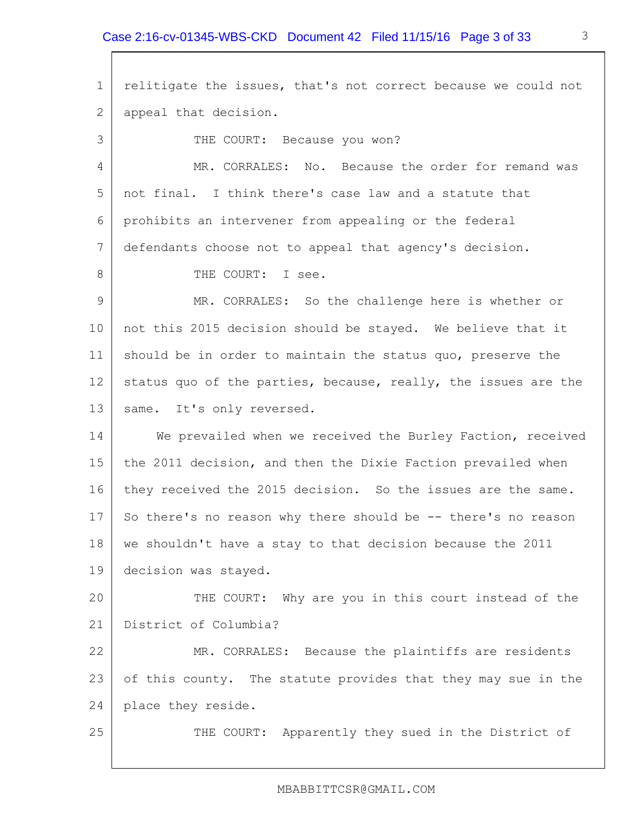1 2 3 4 5 6 7 8 9 10 11 12 13 14 15 16 17 18 19 20 21 22 23 24 25 relitigate the issues, that's not correct because we could not appeal that decision. THE COURT: Because you won? MR. CORRALES: No. Because the order for remand was not final. I think there's case law and a statute that prohibits an intervener from appealing or the federal defendants choose not to appeal that agency's decision. THE COURT: I see. MR. CORRALES: So the challenge here is whether or not this 2015 decision should be stayed. We believe that it should be in order to maintain the status quo, preserve the status quo of the parties, because, really, the issues are the same. It's only reversed. We prevailed when we received the Burley Faction, received the 2011 decision, and then the Dixie Faction prevailed when they received the 2015 decision. So the issues are the same. So there's no reason why there should be -- there's no reason we shouldn't have a stay to that decision because the 2011 decision was stayed. THE COURT: Why are you in this court instead of the District of Columbia? MR. CORRALES: Because the plaintiffs are residents of this county. The statute provides that they may sue in the place they reside. THE COURT: Apparently they sued in the District of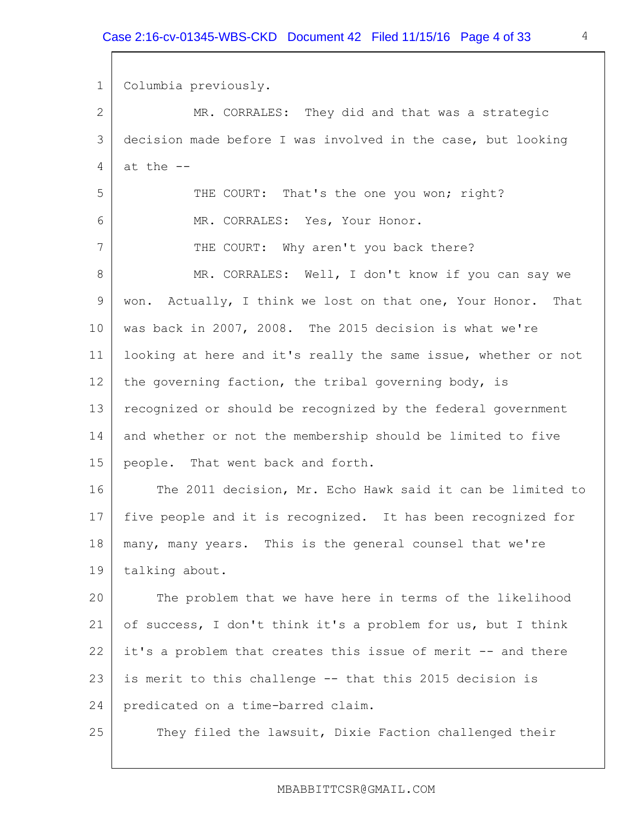1 2 3 4 5 6 7 8 9 10 11 12 13 14 15 16 17 18 19 20 21 22 23 24 25 Columbia previously. MR. CORRALES: They did and that was a strategic decision made before I was involved in the case, but looking at the -- THE COURT: That's the one you won; right? MR. CORRALES: Yes, Your Honor. THE COURT: Why aren't you back there? MR. CORRALES: Well, I don't know if you can say we won. Actually, I think we lost on that one, Your Honor. That was back in 2007, 2008. The 2015 decision is what we're looking at here and it's really the same issue, whether or not the governing faction, the tribal governing body, is recognized or should be recognized by the federal government and whether or not the membership should be limited to five people. That went back and forth. The 2011 decision, Mr. Echo Hawk said it can be limited to five people and it is recognized. It has been recognized for many, many years. This is the general counsel that we're talking about. The problem that we have here in terms of the likelihood of success, I don't think it's a problem for us, but I think it's a problem that creates this issue of merit -- and there is merit to this challenge -- that this 2015 decision is predicated on a time-barred claim. They filed the lawsuit, Dixie Faction challenged their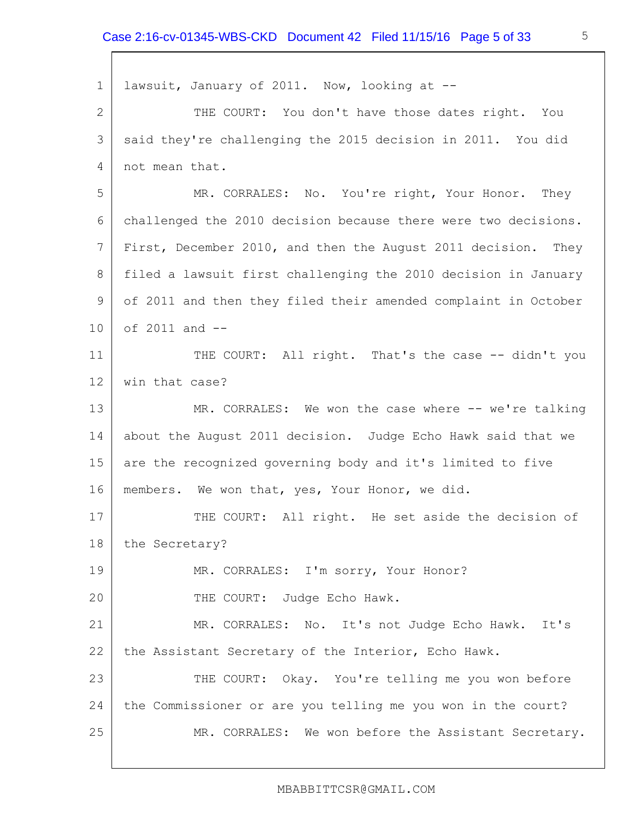1 2 3 4 5 6 7 8 9 10 11 12 13 14 15 16 17 18 19 20 21 22 23 24 25 lawsuit, January of 2011. Now, looking at -- THE COURT: You don't have those dates right. You said they're challenging the 2015 decision in 2011. You did not mean that. MR. CORRALES: No. You're right, Your Honor. They challenged the 2010 decision because there were two decisions. First, December 2010, and then the August 2011 decision. They filed a lawsuit first challenging the 2010 decision in January of 2011 and then they filed their amended complaint in October of 2011 and -- THE COURT: All right. That's the case -- didn't you win that case? MR. CORRALES: We won the case where -- we're talking about the August 2011 decision. Judge Echo Hawk said that we are the recognized governing body and it's limited to five members. We won that, yes, Your Honor, we did. THE COURT: All right. He set aside the decision of the Secretary? MR. CORRALES: I'm sorry, Your Honor? THE COURT: Judge Echo Hawk. MR. CORRALES: No. It's not Judge Echo Hawk. It's the Assistant Secretary of the Interior, Echo Hawk. THE COURT: Okay. You're telling me you won before the Commissioner or are you telling me you won in the court? MR. CORRALES: We won before the Assistant Secretary.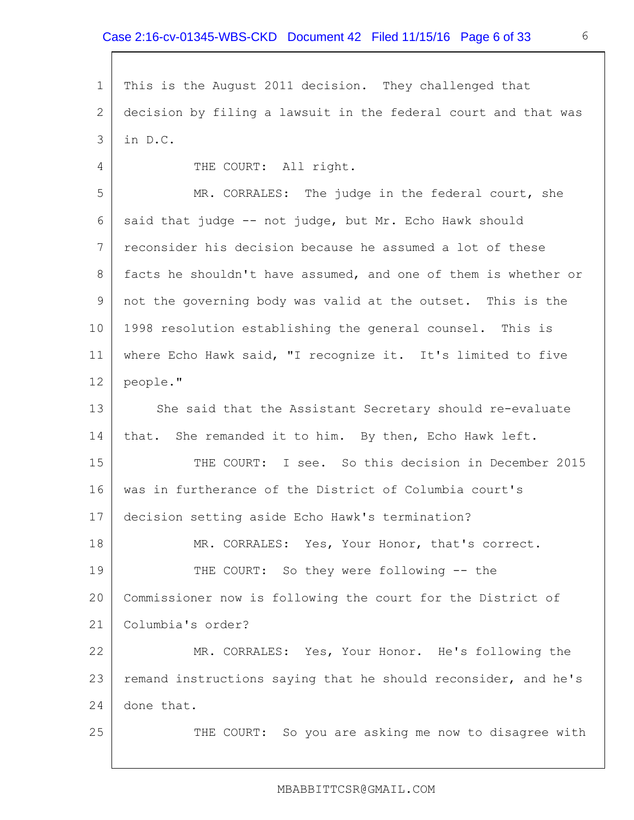1 2 3 This is the August 2011 decision. They challenged that decision by filing a lawsuit in the federal court and that was in D.C.

THE COURT: All right.

4

25

5 6 7 8 9 10 11 12 13 14 MR. CORRALES: The judge in the federal court, she said that judge -- not judge, but Mr. Echo Hawk should reconsider his decision because he assumed a lot of these facts he shouldn't have assumed, and one of them is whether or not the governing body was valid at the outset. This is the 1998 resolution establishing the general counsel. This is where Echo Hawk said, "I recognize it. It's limited to five people." She said that the Assistant Secretary should re-evaluate that. She remanded it to him. By then, Echo Hawk left.

15 16 17 THE COURT: I see. So this decision in December 2015 was in furtherance of the District of Columbia court's decision setting aside Echo Hawk's termination?

18 19 20 21 MR. CORRALES: Yes, Your Honor, that's correct. THE COURT: So they were following -- the Commissioner now is following the court for the District of Columbia's order?

22 23 24 MR. CORRALES: Yes, Your Honor. He's following the remand instructions saying that he should reconsider, and he's done that.

THE COURT: So you are asking me now to disagree with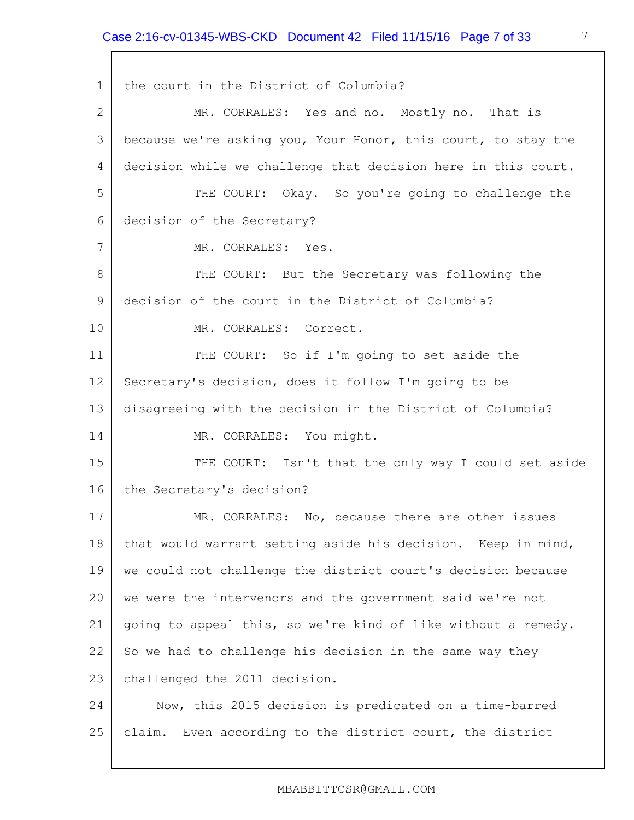1 2 3 4 5 6 7 8 9 10 11 12 13 14 15 16 17 18 19 20 21 22 23 24 25 the court in the District of Columbia? MR. CORRALES: Yes and no. Mostly no. That is because we're asking you, Your Honor, this court, to stay the decision while we challenge that decision here in this court. THE COURT: Okay. So you're going to challenge the decision of the Secretary? MR. CORRALES: Yes. THE COURT: But the Secretary was following the decision of the court in the District of Columbia? MR. CORRALES: Correct. THE COURT: So if I'm going to set aside the Secretary's decision, does it follow I'm going to be disagreeing with the decision in the District of Columbia? MR. CORRALES: You might. THE COURT: Isn't that the only way I could set aside the Secretary's decision? MR. CORRALES: No, because there are other issues that would warrant setting aside his decision. Keep in mind, we could not challenge the district court's decision because we were the intervenors and the government said we're not going to appeal this, so we're kind of like without a remedy. So we had to challenge his decision in the same way they challenged the 2011 decision. Now, this 2015 decision is predicated on a time-barred claim. Even according to the district court, the district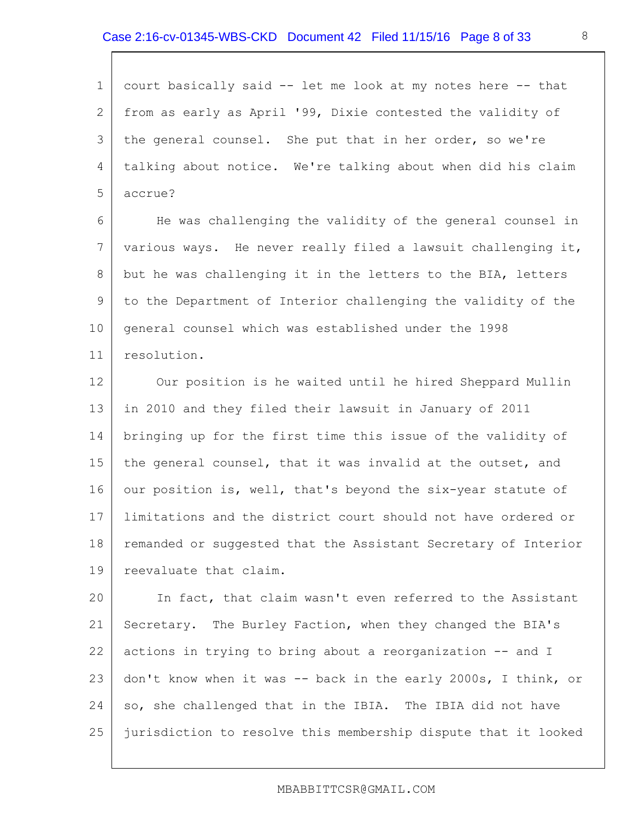1 2 3 4 5 court basically said -- let me look at my notes here -- that from as early as April '99, Dixie contested the validity of the general counsel. She put that in her order, so we're talking about notice. We're talking about when did his claim accrue?

6 7 8 9 10 11 He was challenging the validity of the general counsel in various ways. He never really filed a lawsuit challenging it, but he was challenging it in the letters to the BIA, letters to the Department of Interior challenging the validity of the general counsel which was established under the 1998 resolution.

12 13 14 15 16 17 18 19 Our position is he waited until he hired Sheppard Mullin in 2010 and they filed their lawsuit in January of 2011 bringing up for the first time this issue of the validity of the general counsel, that it was invalid at the outset, and our position is, well, that's beyond the six-year statute of limitations and the district court should not have ordered or remanded or suggested that the Assistant Secretary of Interior reevaluate that claim.

20 21 22 23 24 25 In fact, that claim wasn't even referred to the Assistant Secretary. The Burley Faction, when they changed the BIA's actions in trying to bring about a reorganization -- and I don't know when it was -- back in the early 2000s, I think, or so, she challenged that in the IBIA. The IBIA did not have jurisdiction to resolve this membership dispute that it looked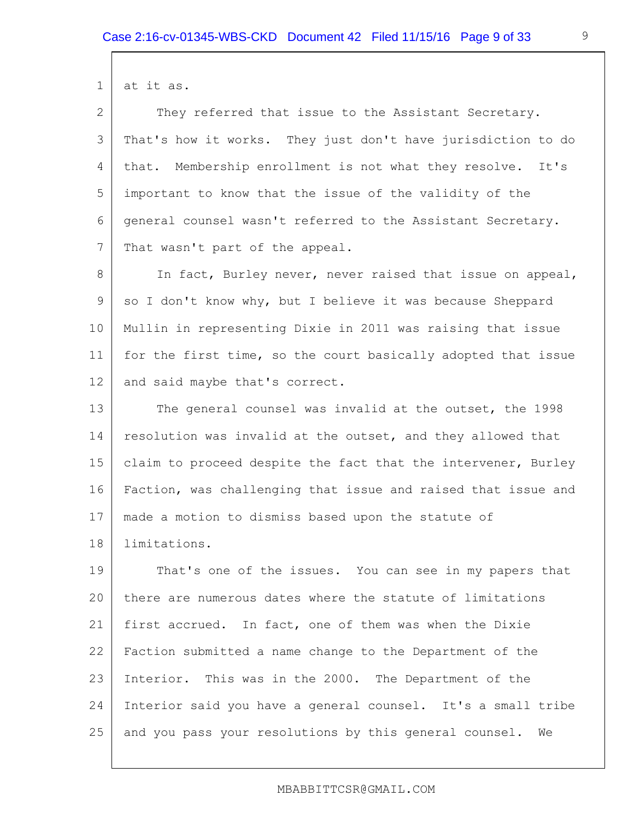1 at it as.

2 3 4 5 6 7 They referred that issue to the Assistant Secretary. That's how it works. They just don't have jurisdiction to do that. Membership enrollment is not what they resolve. It's important to know that the issue of the validity of the general counsel wasn't referred to the Assistant Secretary. That wasn't part of the appeal.

8 9 10 11 12 In fact, Burley never, never raised that issue on appeal, so I don't know why, but I believe it was because Sheppard Mullin in representing Dixie in 2011 was raising that issue for the first time, so the court basically adopted that issue and said maybe that's correct.

13 14 15 16 17 18 The general counsel was invalid at the outset, the 1998 resolution was invalid at the outset, and they allowed that claim to proceed despite the fact that the intervener, Burley Faction, was challenging that issue and raised that issue and made a motion to dismiss based upon the statute of limitations.

19 20 21 22 23 24 25 That's one of the issues. You can see in my papers that there are numerous dates where the statute of limitations first accrued. In fact, one of them was when the Dixie Faction submitted a name change to the Department of the Interior. This was in the 2000. The Department of the Interior said you have a general counsel. It's a small tribe and you pass your resolutions by this general counsel. We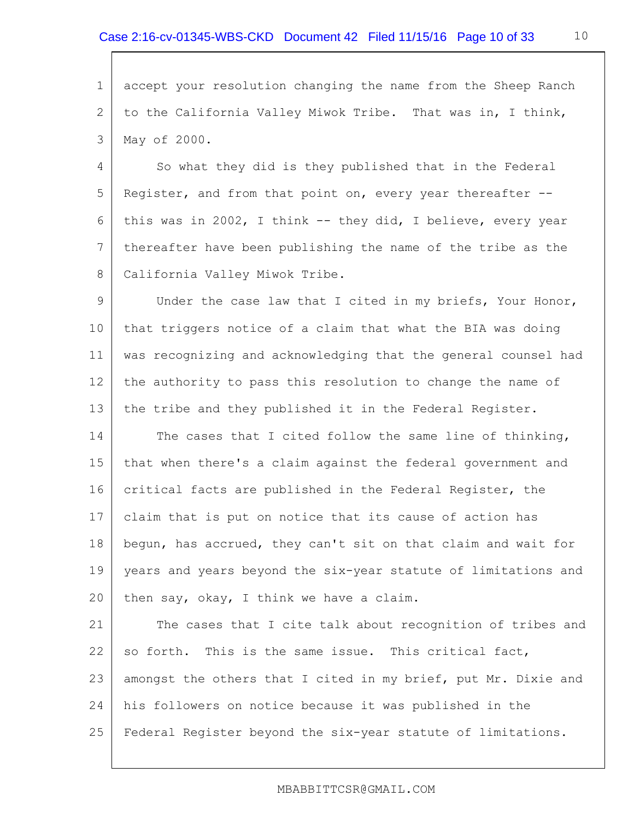1 2 3 accept your resolution changing the name from the Sheep Ranch to the California Valley Miwok Tribe. That was in, I think, May of 2000.

4 5 6 7 8 So what they did is they published that in the Federal Register, and from that point on, every year thereafter - this was in 2002, I think -- they did, I believe, every year thereafter have been publishing the name of the tribe as the California Valley Miwok Tribe.

9 10 11 12 13 Under the case law that I cited in my briefs, Your Honor, that triggers notice of a claim that what the BIA was doing was recognizing and acknowledging that the general counsel had the authority to pass this resolution to change the name of the tribe and they published it in the Federal Register.

14 15 16 17 18 19 20 The cases that I cited follow the same line of thinking, that when there's a claim against the federal government and critical facts are published in the Federal Register, the claim that is put on notice that its cause of action has begun, has accrued, they can't sit on that claim and wait for years and years beyond the six-year statute of limitations and then say, okay, I think we have a claim.

21 22 23 24 25 The cases that I cite talk about recognition of tribes and so forth. This is the same issue. This critical fact, amongst the others that I cited in my brief, put Mr. Dixie and his followers on notice because it was published in the Federal Register beyond the six-year statute of limitations.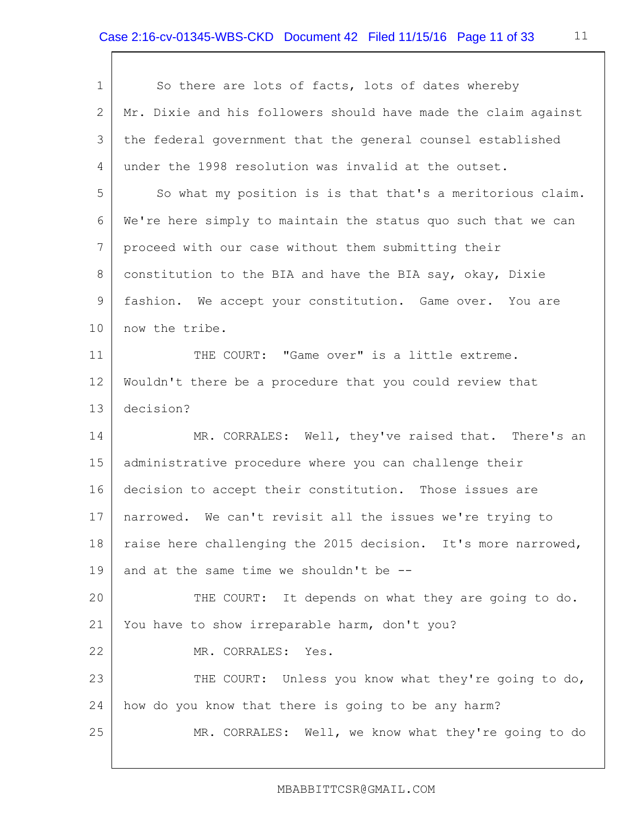| $\mathbf{1}$   | So there are lots of facts, lots of dates whereby              |
|----------------|----------------------------------------------------------------|
| 2              | Mr. Dixie and his followers should have made the claim against |
| 3              | the federal government that the general counsel established    |
| 4              | under the 1998 resolution was invalid at the outset.           |
| 5              | So what my position is is that that's a meritorious claim.     |
| 6              | We're here simply to maintain the status quo such that we can  |
| 7              | proceed with our case without them submitting their            |
| 8              | constitution to the BIA and have the BIA say, okay, Dixie      |
| $\overline{9}$ | fashion. We accept your constitution. Game over. You are       |
| 10             | now the tribe.                                                 |
| 11             | THE COURT: "Game over" is a little extreme.                    |
| 12             | Wouldn't there be a procedure that you could review that       |
| 13             | decision?                                                      |
| 14             | MR. CORRALES: Well, they've raised that. There's an            |
| 15             | administrative procedure where you can challenge their         |
| 16             | decision to accept their constitution. Those issues are        |
| 17             | narrowed. We can't revisit all the issues we're trying to      |
| 18             | raise here challenging the 2015 decision. It's more narrowed,  |
| 19             | and at the same time we shouldn't be --                        |
| 20             | THE COURT: It depends on what they are going to do.            |
| 21             | You have to show irreparable harm, don't you?                  |
| 22             | MR. CORRALES:<br>Yes.                                          |
| 23             | THE COURT: Unless you know what they're going to do,           |
| 24             | how do you know that there is going to be any harm?            |
| 25             | MR. CORRALES: Well, we know what they're going to do           |
|                |                                                                |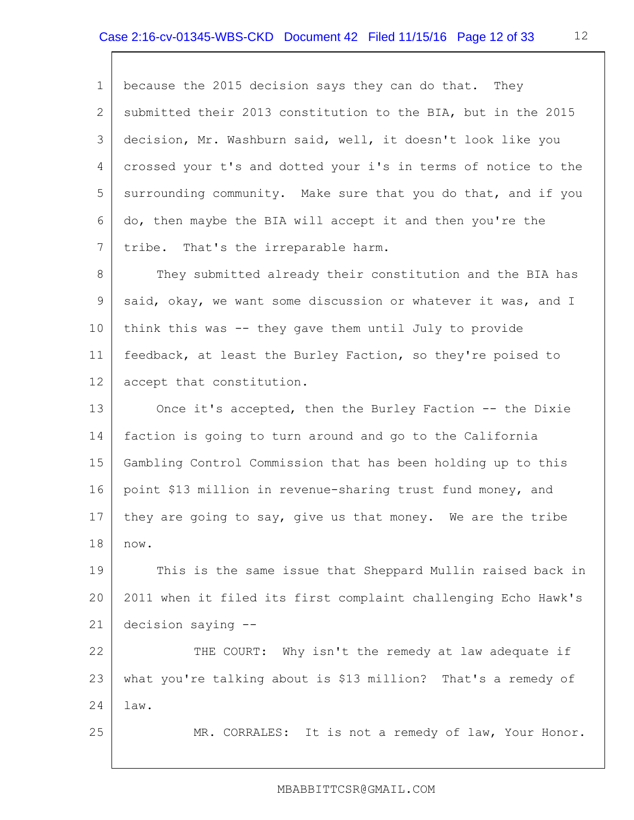1 2 3 4 5 6 7 8 9 10 11 12 13 14 15 16 17 18 19 20 21 22 23 24 25 because the 2015 decision says they can do that. They submitted their 2013 constitution to the BIA, but in the 2015 decision, Mr. Washburn said, well, it doesn't look like you crossed your t's and dotted your i's in terms of notice to the surrounding community. Make sure that you do that, and if you do, then maybe the BIA will accept it and then you're the tribe. That's the irreparable harm. They submitted already their constitution and the BIA has said, okay, we want some discussion or whatever it was, and I think this was -- they gave them until July to provide feedback, at least the Burley Faction, so they're poised to accept that constitution. Once it's accepted, then the Burley Faction -- the Dixie faction is going to turn around and go to the California Gambling Control Commission that has been holding up to this point \$13 million in revenue-sharing trust fund money, and they are going to say, give us that money. We are the tribe now. This is the same issue that Sheppard Mullin raised back in 2011 when it filed its first complaint challenging Echo Hawk's decision saying -- THE COURT: Why isn't the remedy at law adequate if what you're talking about is \$13 million? That's a remedy of law. MR. CORRALES: It is not a remedy of law, Your Honor.

### MBABBITTCSR@GMAIL.COM

12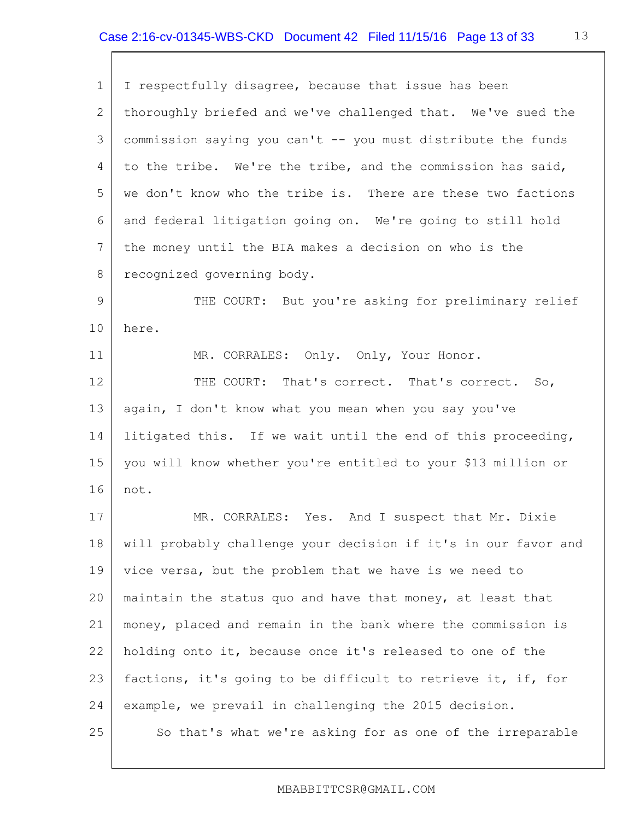| $\mathbf 1$     | I respectfully disagree, because that issue has been           |
|-----------------|----------------------------------------------------------------|
| $\mathbf{2}$    | thoroughly briefed and we've challenged that. We've sued the   |
| 3               | commission saying you can't -- you must distribute the funds   |
| 4               | to the tribe. We're the tribe, and the commission has said,    |
| 5               | we don't know who the tribe is. There are these two factions   |
| 6               | and federal litigation going on. We're going to still hold     |
| $7\phantom{.0}$ | the money until the BIA makes a decision on who is the         |
| 8               | recognized governing body.                                     |
| 9               | THE COURT: But you're asking for preliminary relief            |
| 10              | here.                                                          |
| 11              | MR. CORRALES: Only. Only, Your Honor.                          |
| 12              | THE COURT: That's correct. That's correct. So,                 |
| 13              | again, I don't know what you mean when you say you've          |
| 14              | litigated this. If we wait until the end of this proceeding,   |
| 15              | you will know whether you're entitled to your \$13 million or  |
| 16              | not.                                                           |
| 17              | MR. CORRALES: Yes. And I suspect that Mr. Dixie                |
| 18              | will probably challenge your decision if it's in our favor and |
| 19              | vice versa, but the problem that we have is we need to         |
| 20              | maintain the status quo and have that money, at least that     |
| 21              | money, placed and remain in the bank where the commission is   |
| 22              | holding onto it, because once it's released to one of the      |
| 23              | factions, it's going to be difficult to retrieve it, if, for   |
| 24              | example, we prevail in challenging the 2015 decision.          |
| 25              | So that's what we're asking for as one of the irreparable      |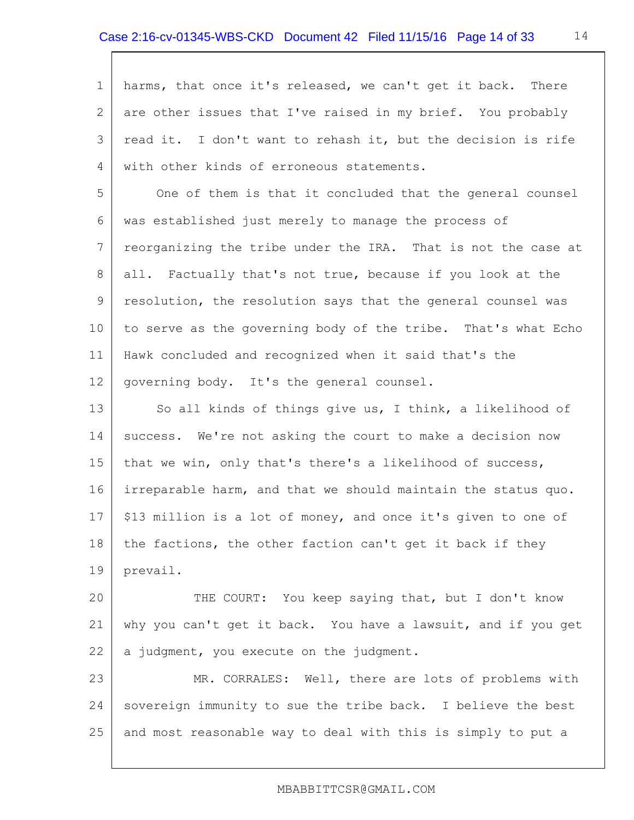1 2 3 4 5 6 7 8 9 10 11 12 13 14 15 16 17 18 19 20 21 22 23 harms, that once it's released, we can't get it back. There are other issues that I've raised in my brief. You probably read it. I don't want to rehash it, but the decision is rife with other kinds of erroneous statements. One of them is that it concluded that the general counsel was established just merely to manage the process of reorganizing the tribe under the IRA. That is not the case at all. Factually that's not true, because if you look at the resolution, the resolution says that the general counsel was to serve as the governing body of the tribe. That's what Echo Hawk concluded and recognized when it said that's the governing body. It's the general counsel. So all kinds of things give us, I think, a likelihood of success. We're not asking the court to make a decision now that we win, only that's there's a likelihood of success, irreparable harm, and that we should maintain the status quo. \$13 million is a lot of money, and once it's given to one of the factions, the other faction can't get it back if they prevail. THE COURT: You keep saying that, but I don't know why you can't get it back. You have a lawsuit, and if you get a judgment, you execute on the judgment. MR. CORRALES: Well, there are lots of problems with

24 25 sovereign immunity to sue the tribe back. I believe the best and most reasonable way to deal with this is simply to put a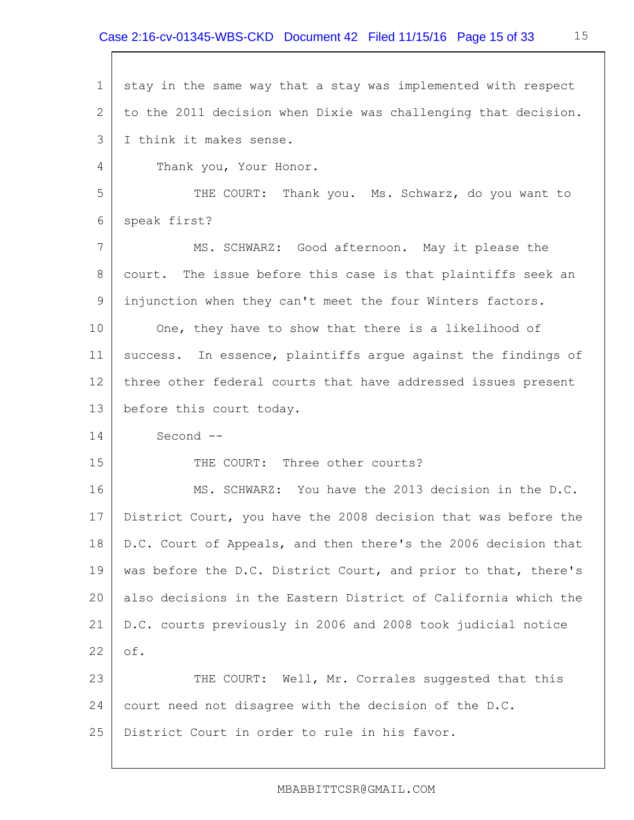1 2 3 4 5 6 7 8 9 10 11 12 13 14 15 16 17 18 19 20 21 22 23 24 25 stay in the same way that a stay was implemented with respect to the 2011 decision when Dixie was challenging that decision. I think it makes sense. Thank you, Your Honor. THE COURT: Thank you. Ms. Schwarz, do you want to speak first? MS. SCHWARZ: Good afternoon. May it please the court. The issue before this case is that plaintiffs seek an injunction when they can't meet the four Winters factors. One, they have to show that there is a likelihood of success. In essence, plaintiffs argue against the findings of three other federal courts that have addressed issues present before this court today. Second -- THE COURT: Three other courts? MS. SCHWARZ: You have the 2013 decision in the D.C. District Court, you have the 2008 decision that was before the D.C. Court of Appeals, and then there's the 2006 decision that was before the D.C. District Court, and prior to that, there's also decisions in the Eastern District of California which the D.C. courts previously in 2006 and 2008 took judicial notice of. THE COURT: Well, Mr. Corrales suggested that this court need not disagree with the decision of the D.C. District Court in order to rule in his favor.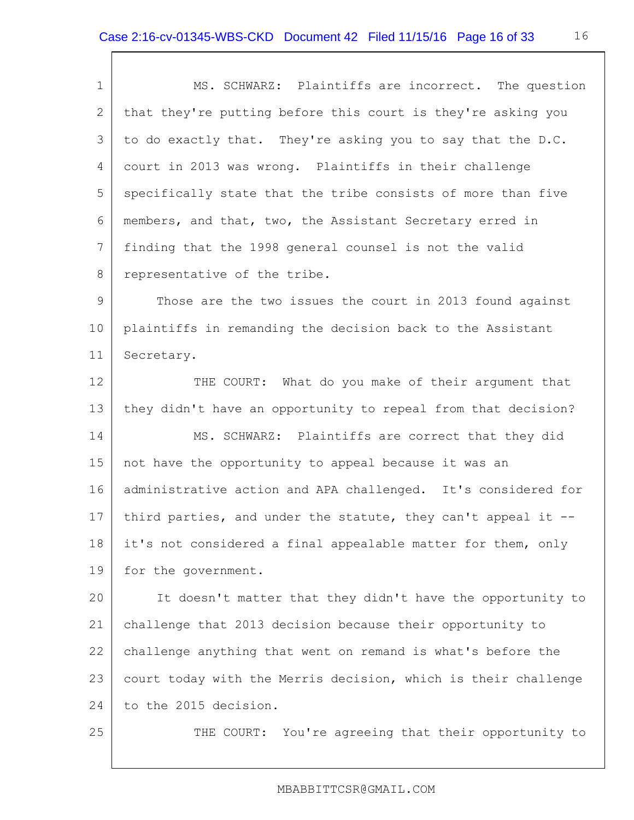| $\mathbf 1$    | MS. SCHWARZ: Plaintiffs are incorrect. The question            |
|----------------|----------------------------------------------------------------|
| 2              | that they're putting before this court is they're asking you   |
| 3              | to do exactly that. They're asking you to say that the D.C.    |
| 4              | court in 2013 was wrong. Plaintiffs in their challenge         |
| 5              | specifically state that the tribe consists of more than five   |
| 6              | members, and that, two, the Assistant Secretary erred in       |
| $7\phantom{.}$ | finding that the 1998 general counsel is not the valid         |
| 8              | representative of the tribe.                                   |
| $\overline{9}$ | Those are the two issues the court in 2013 found against       |
| 10             | plaintiffs in remanding the decision back to the Assistant     |
| 11             | Secretary.                                                     |
| 12             | THE COURT: What do you make of their argument that             |
| 13             | they didn't have an opportunity to repeal from that decision?  |
| 14             | MS. SCHWARZ: Plaintiffs are correct that they did              |
| 15             | not have the opportunity to appeal because it was an           |
| 16             | administrative action and APA challenged. It's considered for  |
| 17             | third parties, and under the statute, they can't appeal it --  |
| 18             | it's not considered a final appealable matter for them, only   |
| 19             | for the government.                                            |
| 20             | It doesn't matter that they didn't have the opportunity to     |
| 21             | challenge that 2013 decision because their opportunity to      |
| 22             | challenge anything that went on remand is what's before the    |
| 23             | court today with the Merris decision, which is their challenge |
| 24             | to the 2015 decision.                                          |
| 25             | THE COURT: You're agreeing that their opportunity to           |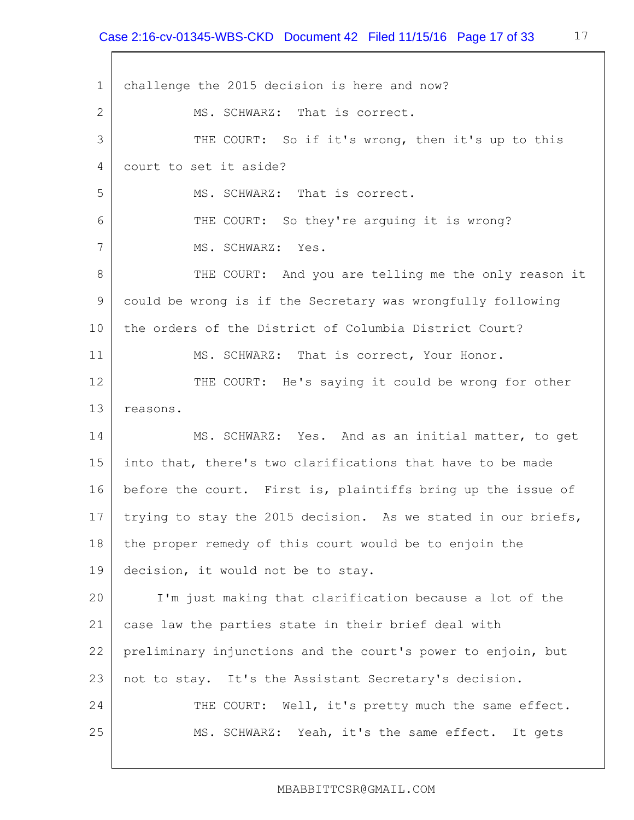1 2 3 4 5 6 7 8 9 10 11 12 13 14 15 16 17 18 19 20 21 22 23 24 25 challenge the 2015 decision is here and now? MS. SCHWARZ: That is correct. THE COURT: So if it's wrong, then it's up to this court to set it aside? MS. SCHWARZ: That is correct. THE COURT: So they're arguing it is wrong? MS. SCHWARZ: Yes. THE COURT: And you are telling me the only reason it could be wrong is if the Secretary was wrongfully following the orders of the District of Columbia District Court? MS. SCHWARZ: That is correct, Your Honor. THE COURT: He's saying it could be wrong for other reasons. MS. SCHWARZ: Yes. And as an initial matter, to get into that, there's two clarifications that have to be made before the court. First is, plaintiffs bring up the issue of trying to stay the 2015 decision. As we stated in our briefs, the proper remedy of this court would be to enjoin the decision, it would not be to stay. I'm just making that clarification because a lot of the case law the parties state in their brief deal with preliminary injunctions and the court's power to enjoin, but not to stay. It's the Assistant Secretary's decision. THE COURT: Well, it's pretty much the same effect. MS. SCHWARZ: Yeah, it's the same effect. It gets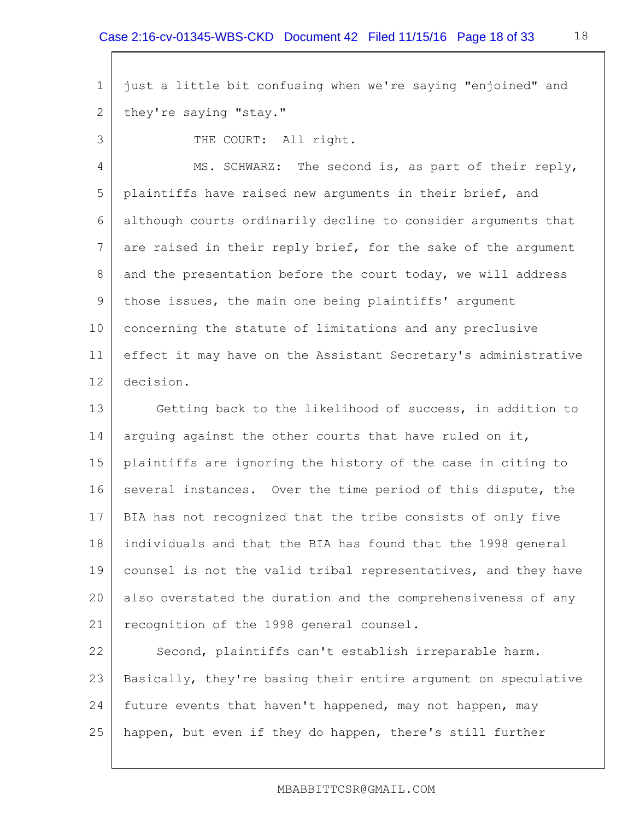1 2 just a little bit confusing when we're saying "enjoined" and they're saying "stay."

THE COURT: All right.

3

4 5 6 7 8 9 10 11 12 MS. SCHWARZ: The second is, as part of their reply, plaintiffs have raised new arguments in their brief, and although courts ordinarily decline to consider arguments that are raised in their reply brief, for the sake of the argument and the presentation before the court today, we will address those issues, the main one being plaintiffs' argument concerning the statute of limitations and any preclusive effect it may have on the Assistant Secretary's administrative decision.

13 14 15 16 17 18 19 20 21 Getting back to the likelihood of success, in addition to arguing against the other courts that have ruled on it, plaintiffs are ignoring the history of the case in citing to several instances. Over the time period of this dispute, the BIA has not recognized that the tribe consists of only five individuals and that the BIA has found that the 1998 general counsel is not the valid tribal representatives, and they have also overstated the duration and the comprehensiveness of any recognition of the 1998 general counsel.

22 23 24 25 Second, plaintiffs can't establish irreparable harm. Basically, they're basing their entire argument on speculative future events that haven't happened, may not happen, may happen, but even if they do happen, there's still further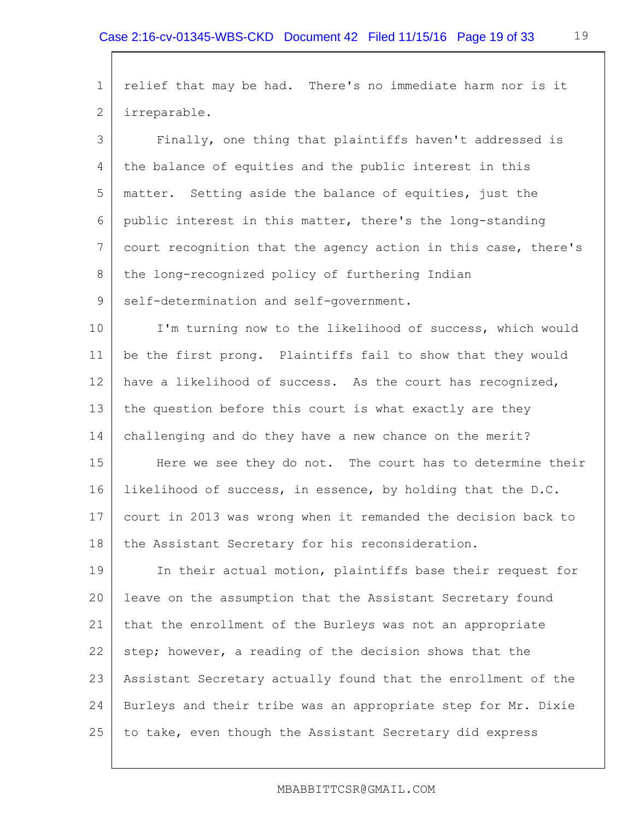1 2 3 4 5 6 7 8 9 10 11 12 13 14 15 16 17 18 19 20 21 22 relief that may be had. There's no immediate harm nor is it irreparable. Finally, one thing that plaintiffs haven't addressed is the balance of equities and the public interest in this matter. Setting aside the balance of equities, just the public interest in this matter, there's the long-standing court recognition that the agency action in this case, there's the long-recognized policy of furthering Indian self-determination and self-government. I'm turning now to the likelihood of success, which would be the first prong. Plaintiffs fail to show that they would have a likelihood of success. As the court has recognized, the question before this court is what exactly are they challenging and do they have a new chance on the merit? Here we see they do not. The court has to determine their likelihood of success, in essence, by holding that the D.C. court in 2013 was wrong when it remanded the decision back to the Assistant Secretary for his reconsideration. In their actual motion, plaintiffs base their request for leave on the assumption that the Assistant Secretary found that the enrollment of the Burleys was not an appropriate step; however, a reading of the decision shows that the

23 24 25 Assistant Secretary actually found that the enrollment of the Burleys and their tribe was an appropriate step for Mr. Dixie to take, even though the Assistant Secretary did express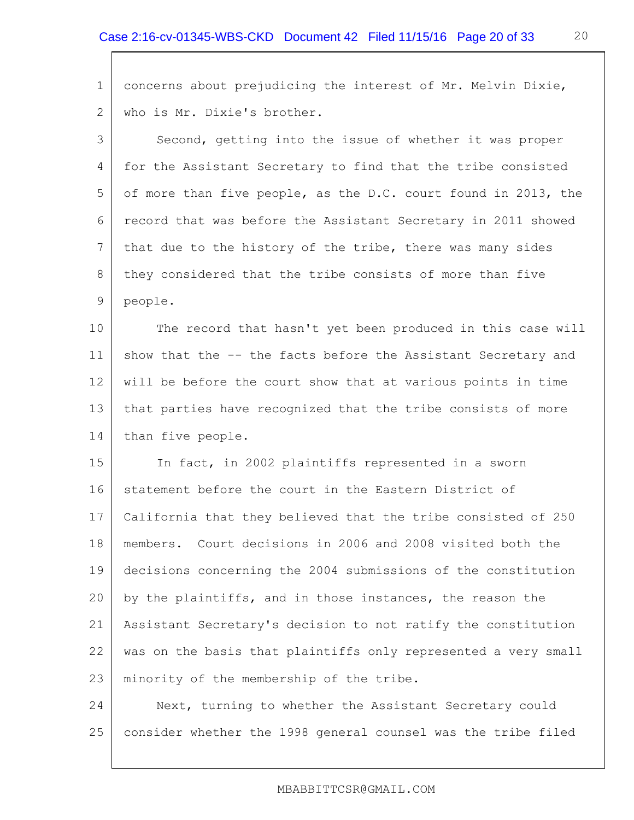| $\mathbf 1$     | concerns about prejudicing the interest of Mr. Melvin Dixie,   |
|-----------------|----------------------------------------------------------------|
| $\mathbf{2}$    | who is Mr. Dixie's brother.                                    |
| 3               | Second, getting into the issue of whether it was proper        |
| 4               | for the Assistant Secretary to find that the tribe consisted   |
| 5               | of more than five people, as the D.C. court found in 2013, the |
| 6               | record that was before the Assistant Secretary in 2011 showed  |
| $7\phantom{.0}$ | that due to the history of the tribe, there was many sides     |
| $8\,$           | they considered that the tribe consists of more than five      |
| 9               | people.                                                        |
| 10              | The record that hasn't yet been produced in this case will     |
| 11              | show that the -- the facts before the Assistant Secretary and  |
| 12              | will be before the court show that at various points in time   |
| 13              | that parties have recognized that the tribe consists of more   |
| 14              | than five people.                                              |
| 15              | In fact, in 2002 plaintiffs represented in a sworn             |
| 16              | statement before the court in the Eastern District of          |
| 17              | California that they believed that the tribe consisted of 250  |
| 18              | members. Court decisions in 2006 and 2008 visited both the     |
| 19              | decisions concerning the 2004 submissions of the constitution  |
| 20              | by the plaintiffs, and in those instances, the reason the      |
| 21              | Assistant Secretary's decision to not ratify the constitution  |
| 22              | was on the basis that plaintiffs only represented a very small |
| 23              | minority of the membership of the tribe.                       |
| 24              | Next, turning to whether the Assistant Secretary could         |
| 25              | consider whether the 1998 general counsel was the tribe filed  |

20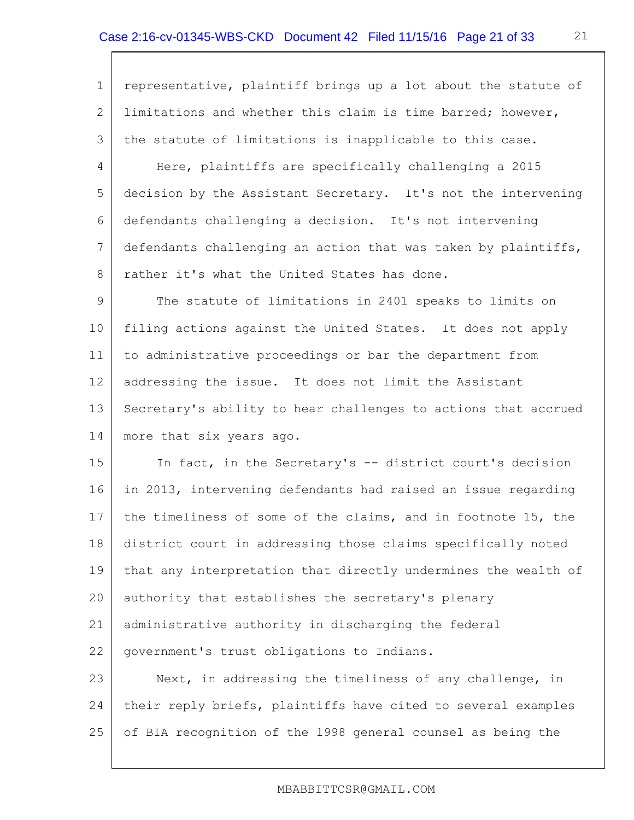| $\mathbf 1$     | representative, plaintiff brings up a lot about the statute of |
|-----------------|----------------------------------------------------------------|
| $\overline{2}$  | limitations and whether this claim is time barred; however,    |
| 3               | the statute of limitations is inapplicable to this case.       |
| 4               | Here, plaintiffs are specifically challenging a 2015           |
| 5               | decision by the Assistant Secretary. It's not the intervening  |
| 6               | defendants challenging a decision. It's not intervening        |
| $7\phantom{.0}$ | defendants challenging an action that was taken by plaintiffs, |
| 8               | rather it's what the United States has done.                   |
| 9               | The statute of limitations in 2401 speaks to limits on         |
| 10              | filing actions against the United States. It does not apply    |
| 11              | to administrative proceedings or bar the department from       |
| 12              | addressing the issue. It does not limit the Assistant          |
| 13              | Secretary's ability to hear challenges to actions that accrued |
| 14              | more that six years ago.                                       |
| 15              | In fact, in the Secretary's -- district court's decision       |
| 16              | in 2013, intervening defendants had raised an issue regarding  |
| 17              | the timeliness of some of the claims, and in footnote 15, the  |
| 18              | district court in addressing those claims specifically noted   |
| 19              | that any interpretation that directly undermines the wealth of |
| 20              | authority that establishes the secretary's plenary             |
| 21              | administrative authority in discharging the federal            |
| 22              | government's trust obligations to Indians.                     |
| 23              | Next, in addressing the timeliness of any challenge, in        |
| 24              | their reply briefs, plaintiffs have cited to several examples  |
| 25              | of BIA recognition of the 1998 general counsel as being the    |

## MBABBITTCSR@GMAIL.COM

21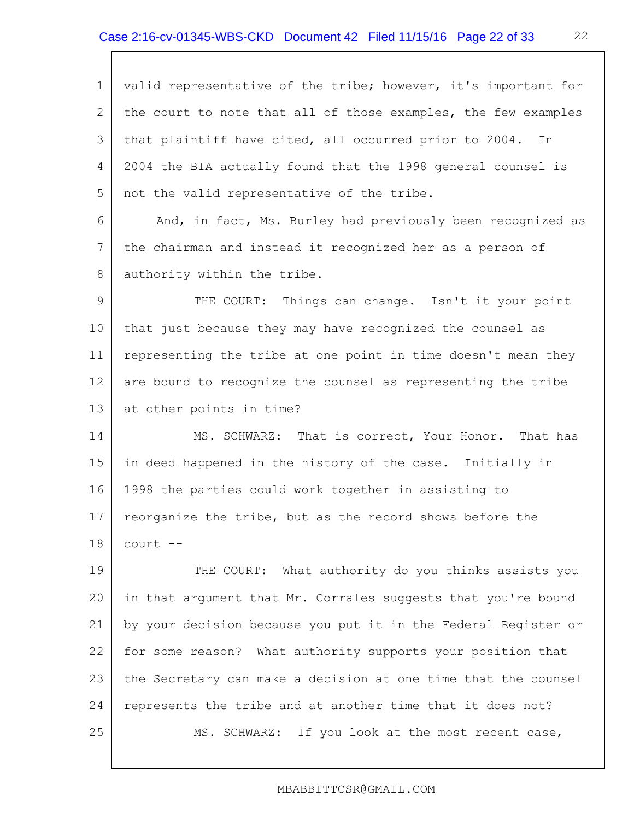1 2 3 4 5 6 7 8 9 10 11 12 13 14 15 16 17 18 19 20 21 22 23 24 25 valid representative of the tribe; however, it's important for the court to note that all of those examples, the few examples that plaintiff have cited, all occurred prior to 2004. In 2004 the BIA actually found that the 1998 general counsel is not the valid representative of the tribe. And, in fact, Ms. Burley had previously been recognized as the chairman and instead it recognized her as a person of authority within the tribe. THE COURT: Things can change. Isn't it your point that just because they may have recognized the counsel as representing the tribe at one point in time doesn't mean they are bound to recognize the counsel as representing the tribe at other points in time? MS. SCHWARZ: That is correct, Your Honor. That has in deed happened in the history of the case. Initially in 1998 the parties could work together in assisting to reorganize the tribe, but as the record shows before the court -- THE COURT: What authority do you thinks assists you in that argument that Mr. Corrales suggests that you're bound by your decision because you put it in the Federal Register or for some reason? What authority supports your position that the Secretary can make a decision at one time that the counsel represents the tribe and at another time that it does not? MS. SCHWARZ: If you look at the most recent case,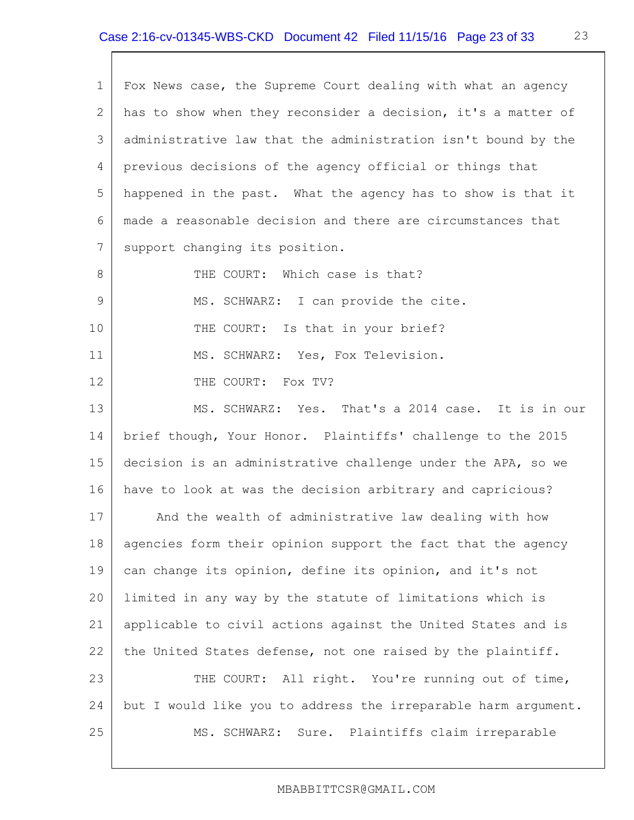| Fox News case, the Supreme Court dealing with what an agency   |
|----------------------------------------------------------------|
| has to show when they reconsider a decision, it's a matter of  |
| administrative law that the administration isn't bound by the  |
| previous decisions of the agency official or things that       |
| happened in the past. What the agency has to show is that it   |
| made a reasonable decision and there are circumstances that    |
| support changing its position.                                 |
| THE COURT: Which case is that?                                 |
| MS. SCHWARZ: I can provide the cite.                           |
| THE COURT: Is that in your brief?                              |
| MS. SCHWARZ: Yes, Fox Television.                              |
| THE COURT: Fox TV?                                             |
| MS. SCHWARZ: Yes. That's a 2014 case. It is in our             |
| brief though, Your Honor. Plaintiffs' challenge to the 2015    |
| decision is an administrative challenge under the APA, so we   |
| have to look at was the decision arbitrary and capricious?     |
| And the wealth of administrative law dealing with how          |
| agencies form their opinion support the fact that the agency   |
| can change its opinion, define its opinion, and it's not       |
| limited in any way by the statute of limitations which is      |
| applicable to civil actions against the United States and is   |
| the United States defense, not one raised by the plaintiff.    |
| THE COURT: All right. You're running out of time,              |
| but I would like you to address the irreparable harm argument. |
| MS. SCHWARZ: Sure. Plaintiffs claim irreparable                |
|                                                                |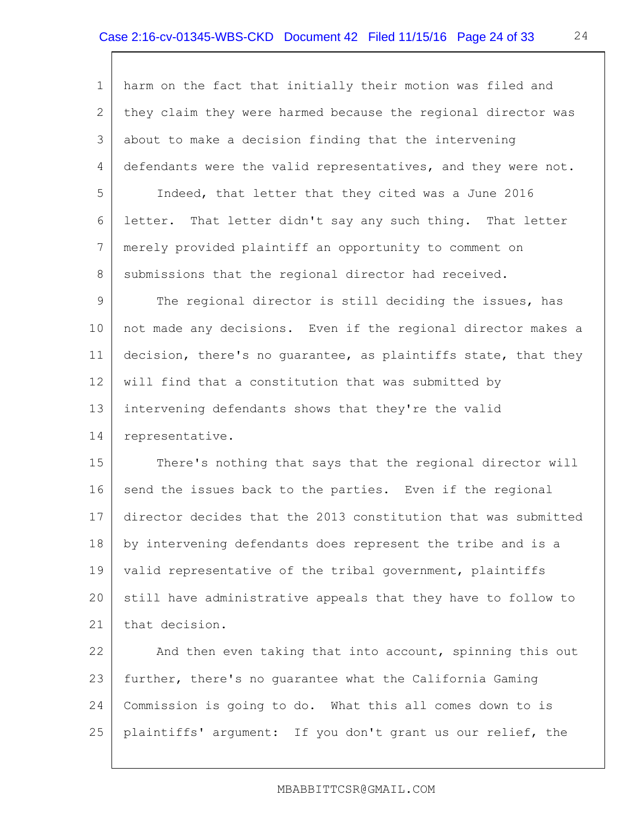1 2 3 4 5 6 7 8 9 10 11 12 13 14 15 16 17 18 19 20 21 22 23 24 25 harm on the fact that initially their motion was filed and they claim they were harmed because the regional director was about to make a decision finding that the intervening defendants were the valid representatives, and they were not. Indeed, that letter that they cited was a June 2016 letter. That letter didn't say any such thing. That letter merely provided plaintiff an opportunity to comment on submissions that the regional director had received. The regional director is still deciding the issues, has not made any decisions. Even if the regional director makes a decision, there's no guarantee, as plaintiffs state, that they will find that a constitution that was submitted by intervening defendants shows that they're the valid representative. There's nothing that says that the regional director will send the issues back to the parties. Even if the regional director decides that the 2013 constitution that was submitted by intervening defendants does represent the tribe and is a valid representative of the tribal government, plaintiffs still have administrative appeals that they have to follow to that decision. And then even taking that into account, spinning this out further, there's no guarantee what the California Gaming Commission is going to do. What this all comes down to is plaintiffs' argument: If you don't grant us our relief, the

#### MBABBITTCSR@GMAIL.COM

24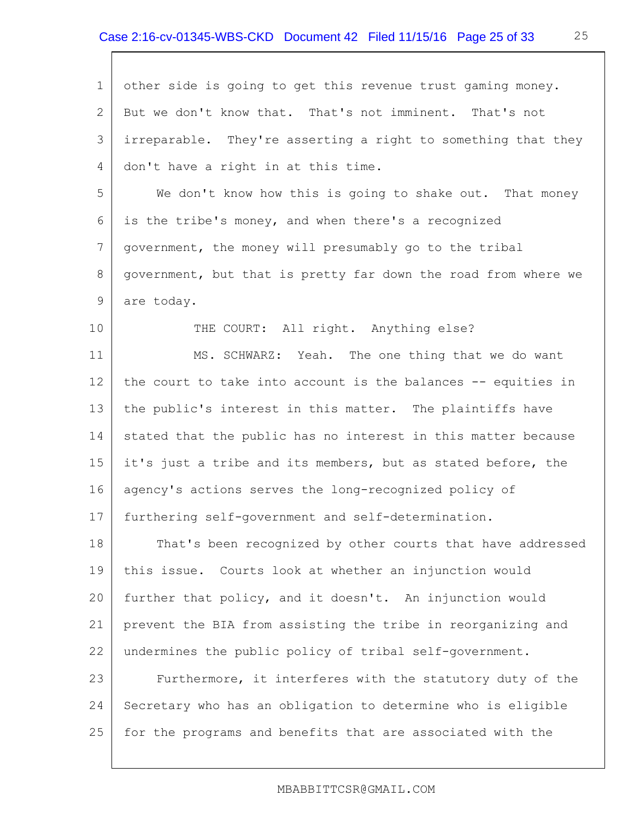| $\mathbf 1$    | other side is going to get this revenue trust gaming money.    |
|----------------|----------------------------------------------------------------|
| 2              | But we don't know that. That's not imminent. That's not        |
| 3              | irreparable. They're asserting a right to something that they  |
| $\overline{4}$ | don't have a right in at this time.                            |
| 5              | We don't know how this is going to shake out. That money       |
| 6              | is the tribe's money, and when there's a recognized            |
| 7              | government, the money will presumably go to the tribal         |
| 8              | government, but that is pretty far down the road from where we |
| 9              | are today.                                                     |
| 10             | THE COURT: All right. Anything else?                           |
| 11             | MS. SCHWARZ: Yeah. The one thing that we do want               |
| 12             | the court to take into account is the balances -- equities in  |
| 13             | the public's interest in this matter. The plaintiffs have      |
| 14             | stated that the public has no interest in this matter because  |
| 15             | it's just a tribe and its members, but as stated before, the   |
| 16             | agency's actions serves the long-recognized policy of          |
| 17             | furthering self-government and self-determination.             |
| 18             | That's been recognized by other courts that have addressed     |
| 19             | this issue. Courts look at whether an injunction would         |
| 20             | further that policy, and it doesn't. An injunction would       |
| 21             | prevent the BIA from assisting the tribe in reorganizing and   |
| 22             | undermines the public policy of tribal self-qovernment.        |
| 23             | Furthermore, it interferes with the statutory duty of the      |
| 24             | Secretary who has an obligation to determine who is eligible   |
| 25             | for the programs and benefits that are associated with the     |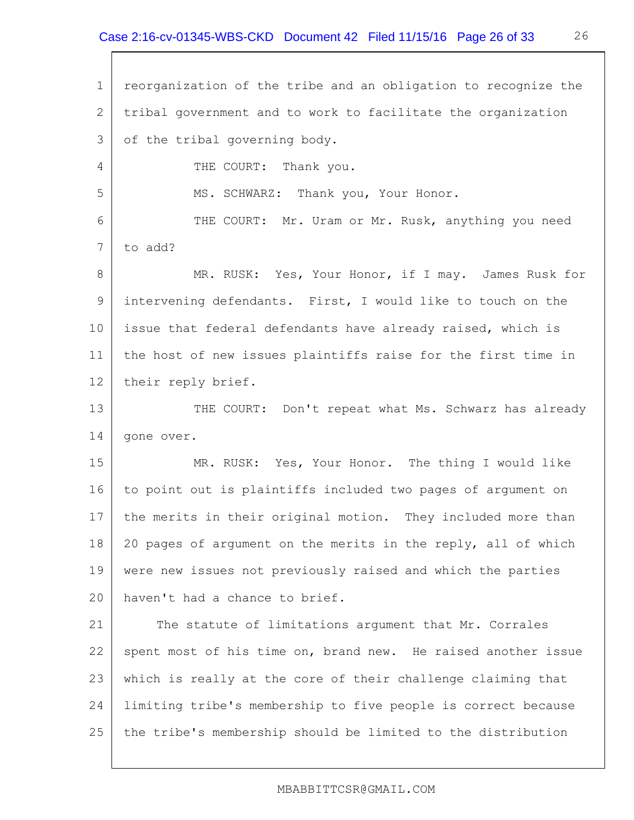1 2 3 4 5 6 7 8 9 10 11 12 13 14 15 16 17 18 19 20 21 22 23 24 25 reorganization of the tribe and an obligation to recognize the tribal government and to work to facilitate the organization of the tribal governing body. THE COURT: Thank you. MS. SCHWARZ: Thank you, Your Honor. THE COURT: Mr. Uram or Mr. Rusk, anything you need to add? MR. RUSK: Yes, Your Honor, if I may. James Rusk for intervening defendants. First, I would like to touch on the issue that federal defendants have already raised, which is the host of new issues plaintiffs raise for the first time in their reply brief. THE COURT: Don't repeat what Ms. Schwarz has already gone over. MR. RUSK: Yes, Your Honor. The thing I would like to point out is plaintiffs included two pages of argument on the merits in their original motion. They included more than 20 pages of argument on the merits in the reply, all of which were new issues not previously raised and which the parties haven't had a chance to brief. The statute of limitations argument that Mr. Corrales spent most of his time on, brand new. He raised another issue which is really at the core of their challenge claiming that limiting tribe's membership to five people is correct because the tribe's membership should be limited to the distribution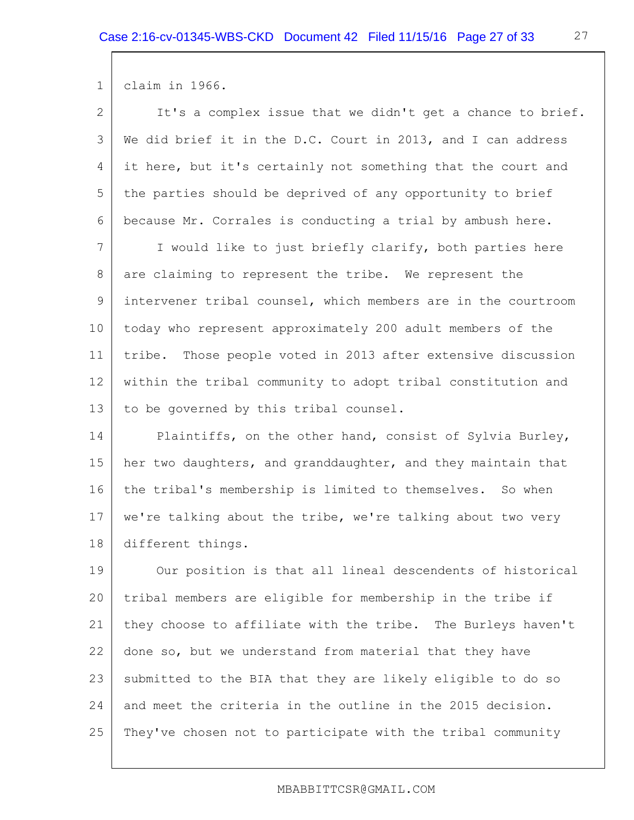1 claim in 1966.

| $\overline{2}$ | It's a complex issue that we didn't get a chance to brief.    |
|----------------|---------------------------------------------------------------|
| 3              | We did brief it in the D.C. Court in 2013, and I can address  |
| 4              | it here, but it's certainly not something that the court and  |
| 5              | the parties should be deprived of any opportunity to brief    |
| 6              | because Mr. Corrales is conducting a trial by ambush here.    |
| 7              | I would like to just briefly clarify, both parties here       |
| 8              | are claiming to represent the tribe. We represent the         |
| 9              | intervener tribal counsel, which members are in the courtroom |
| 10             | today who represent approximately 200 adult members of the    |
| 11             | tribe. Those people voted in 2013 after extensive discussion  |
| 12             | within the tribal community to adopt tribal constitution and  |
| 13             | to be governed by this tribal counsel.                        |
| 14             | Plaintiffs, on the other hand, consist of Sylvia Burley,      |
| 15             | her two daughters, and granddaughter, and they maintain that  |
| 16             | the tribal's membership is limited to themselves. So when     |
| 17             | we're talking about the tribe, we're talking about two very   |
| 18             | different things.                                             |
| 19             | Our position is that all lineal descendents of historical     |
| 20             | tribal members are eligible for membership in the tribe if    |
| 21             | they choose to affiliate with the tribe. The Burleys haven't  |
| 22             | done so, but we understand from material that they have       |
| 23             | submitted to the BIA that they are likely eligible to do so   |
| 24             | and meet the criteria in the outline in the 2015 decision.    |
| 25             | They've chosen not to participate with the tribal community   |

27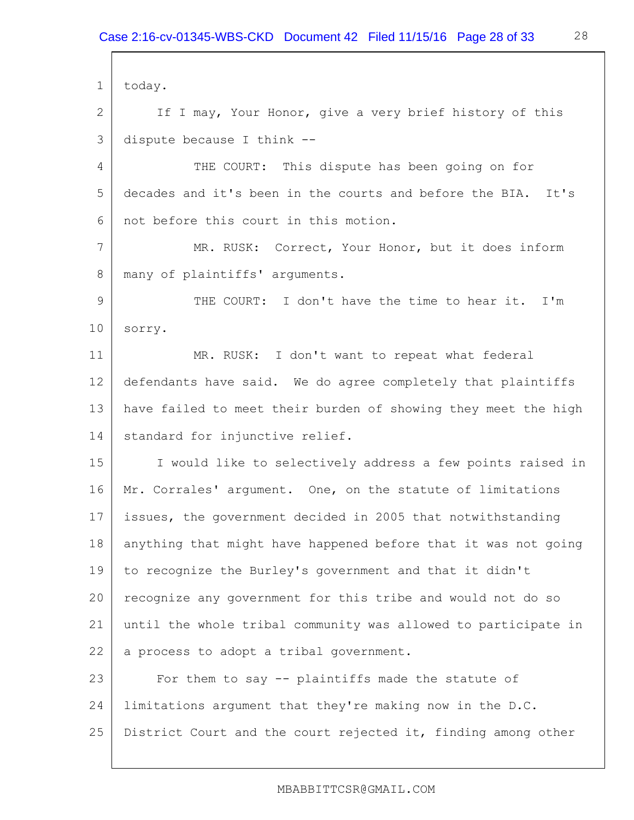1 2 3 4 5 6 7 8 9 10 11 12 13 14 15 16 17 18 19 20 21 22 23 24 25 today. If I may, Your Honor, give a very brief history of this dispute because I think -- THE COURT: This dispute has been going on for decades and it's been in the courts and before the BIA. It's not before this court in this motion. MR. RUSK: Correct, Your Honor, but it does inform many of plaintiffs' arguments. THE COURT: I don't have the time to hear it. I'm sorry. MR. RUSK: I don't want to repeat what federal defendants have said. We do agree completely that plaintiffs have failed to meet their burden of showing they meet the high standard for injunctive relief. I would like to selectively address a few points raised in Mr. Corrales' argument. One, on the statute of limitations issues, the government decided in 2005 that notwithstanding anything that might have happened before that it was not going to recognize the Burley's government and that it didn't recognize any government for this tribe and would not do so until the whole tribal community was allowed to participate in a process to adopt a tribal government. For them to say -- plaintiffs made the statute of limitations argument that they're making now in the D.C. District Court and the court rejected it, finding among other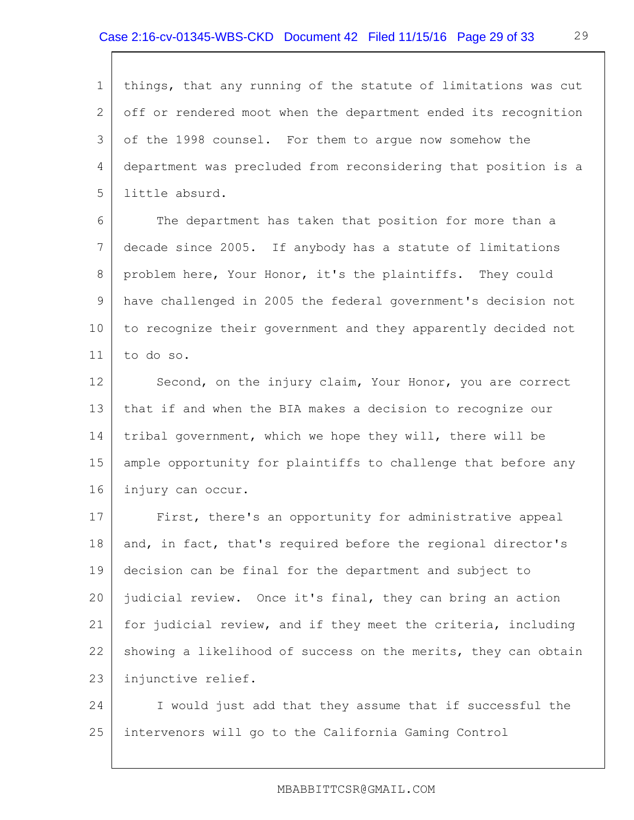1 2 3 4 5 things, that any running of the statute of limitations was cut off or rendered moot when the department ended its recognition of the 1998 counsel. For them to argue now somehow the department was precluded from reconsidering that position is a little absurd.

6 7 8 9 10 11 The department has taken that position for more than a decade since 2005. If anybody has a statute of limitations problem here, Your Honor, it's the plaintiffs. They could have challenged in 2005 the federal government's decision not to recognize their government and they apparently decided not to do so.

12 13 14 15 16 Second, on the injury claim, Your Honor, you are correct that if and when the BIA makes a decision to recognize our tribal government, which we hope they will, there will be ample opportunity for plaintiffs to challenge that before any injury can occur.

17 18 19 20 21 22 23 First, there's an opportunity for administrative appeal and, in fact, that's required before the regional director's decision can be final for the department and subject to judicial review. Once it's final, they can bring an action for judicial review, and if they meet the criteria, including showing a likelihood of success on the merits, they can obtain injunctive relief.

24 25 I would just add that they assume that if successful the intervenors will go to the California Gaming Control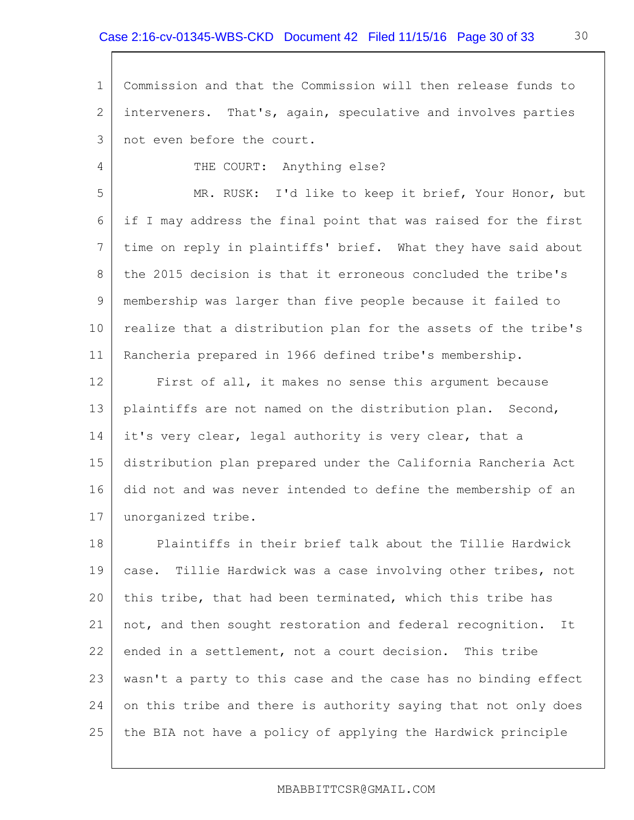1 2 3 Commission and that the Commission will then release funds to interveners. That's, again, speculative and involves parties not even before the court.

THE COURT: Anything else?

4

5 6 7 8 9 10 11 MR. RUSK: I'd like to keep it brief, Your Honor, but if I may address the final point that was raised for the first time on reply in plaintiffs' brief. What they have said about the 2015 decision is that it erroneous concluded the tribe's membership was larger than five people because it failed to realize that a distribution plan for the assets of the tribe's Rancheria prepared in 1966 defined tribe's membership.

12 13 14 15 16 17 First of all, it makes no sense this argument because plaintiffs are not named on the distribution plan. Second, it's very clear, legal authority is very clear, that a distribution plan prepared under the California Rancheria Act did not and was never intended to define the membership of an unorganized tribe.

18 19 20 21 22 23 24 25 Plaintiffs in their brief talk about the Tillie Hardwick case. Tillie Hardwick was a case involving other tribes, not this tribe, that had been terminated, which this tribe has not, and then sought restoration and federal recognition. It ended in a settlement, not a court decision. This tribe wasn't a party to this case and the case has no binding effect on this tribe and there is authority saying that not only does the BIA not have a policy of applying the Hardwick principle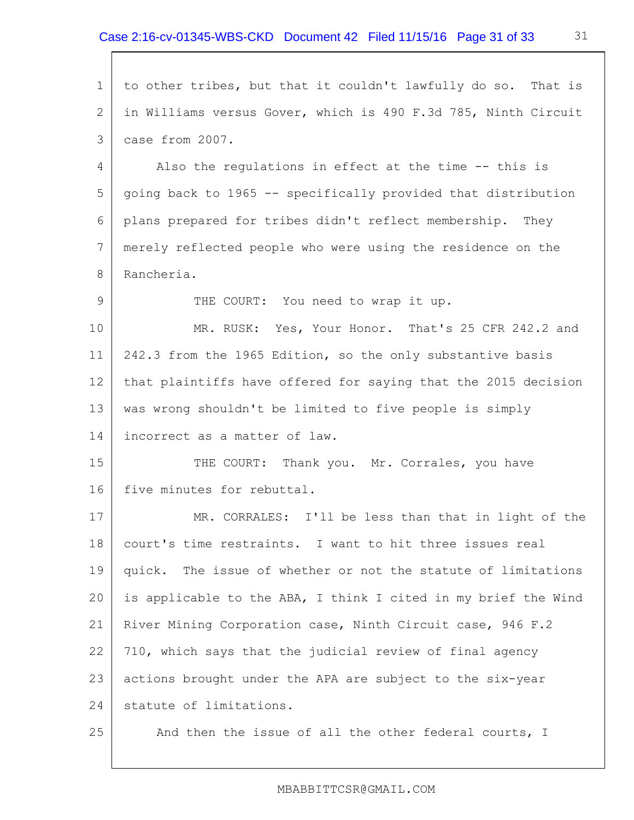1 2 3 4 5 6 7 8 9 10 11 12 13 14 15 16 17 18 19 20 21 22 23 24 25 to other tribes, but that it couldn't lawfully do so. That is in Williams versus Gover, which is 490 F.3d 785, Ninth Circuit case from 2007. Also the regulations in effect at the time -- this is going back to 1965 -- specifically provided that distribution plans prepared for tribes didn't reflect membership. They merely reflected people who were using the residence on the Rancheria. THE COURT: You need to wrap it up. MR. RUSK: Yes, Your Honor. That's 25 CFR 242.2 and 242.3 from the 1965 Edition, so the only substantive basis that plaintiffs have offered for saying that the 2015 decision was wrong shouldn't be limited to five people is simply incorrect as a matter of law. THE COURT: Thank you. Mr. Corrales, you have five minutes for rebuttal. MR. CORRALES: I'll be less than that in light of the court's time restraints. I want to hit three issues real quick. The issue of whether or not the statute of limitations is applicable to the ABA, I think I cited in my brief the Wind River Mining Corporation case, Ninth Circuit case, 946 F.2 710, which says that the judicial review of final agency actions brought under the APA are subject to the six-year statute of limitations. And then the issue of all the other federal courts, I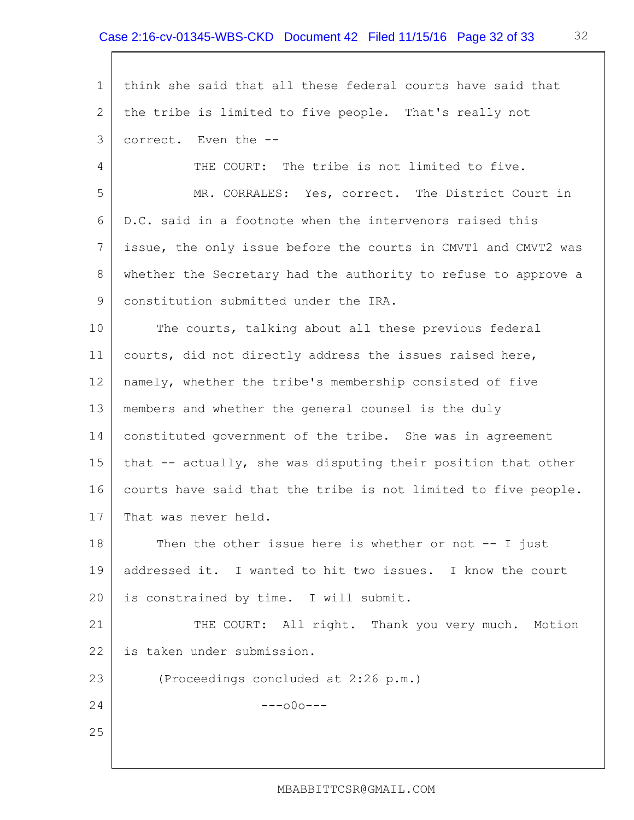1 2 3 4 5 6 7 8 9 10 11 12 13 14 15 16 17 18 19 20 21 22 23 24 25 think she said that all these federal courts have said that the tribe is limited to five people. That's really not correct. Even the -- THE COURT: The tribe is not limited to five. MR. CORRALES: Yes, correct. The District Court in D.C. said in a footnote when the intervenors raised this issue, the only issue before the courts in CMVT1 and CMVT2 was whether the Secretary had the authority to refuse to approve a constitution submitted under the IRA. The courts, talking about all these previous federal courts, did not directly address the issues raised here, namely, whether the tribe's membership consisted of five members and whether the general counsel is the duly constituted government of the tribe. She was in agreement that -- actually, she was disputing their position that other courts have said that the tribe is not limited to five people. That was never held. Then the other issue here is whether or not  $-$ - I just addressed it. I wanted to hit two issues. I know the court is constrained by time. I will submit. THE COURT: All right. Thank you very much. Motion is taken under submission. (Proceedings concluded at 2:26 p.m.)  $---000---$